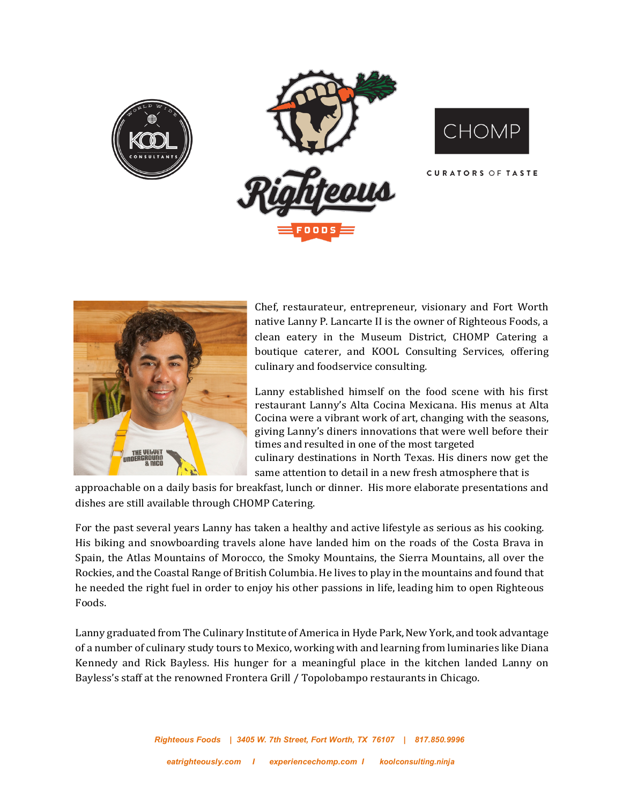





**CURATORS OF TASTE** 



Chef, restaurateur, entrepreneur, visionary and Fort Worth native Lanny P. Lancarte II is the owner of Righteous Foods, a clean eatery in the Museum District, CHOMP Catering a boutique caterer, and KOOL Consulting Services, offering culinary and foodservice consulting.

Lanny established himself on the food scene with his first restaurant Lanny's Alta Cocina Mexicana. His menus at Alta Cocina were a vibrant work of art, changing with the seasons, giving Lanny's diners innovations that were well before their times and resulted in one of the most targeted culinary destinations in North Texas. His diners now get the same attention to detail in a new fresh atmosphere that is

approachable on a daily basis for breakfast, lunch or dinner. His more elaborate presentations and dishes are still available through CHOMP Catering.

For the past several years Lanny has taken a healthy and active lifestyle as serious as his cooking. His biking and snowboarding travels alone have landed him on the roads of the Costa Brava in Spain, the Atlas Mountains of Morocco, the Smoky Mountains, the Sierra Mountains, all over the Rockies, and the Coastal Range of British Columbia. He lives to play in the mountains and found that he needed the right fuel in order to enjoy his other passions in life, leading him to open Righteous Foods.

Lanny graduated from The Culinary Institute of America in Hyde Park, New York, and took advantage of a number of culinary study tours to Mexico, working with and learning from luminaries like Diana Kennedy and Rick Bayless. His hunger for a meaningful place in the kitchen landed Lanny on Bayless's staff at the renowned Frontera Grill / Topolobampo restaurants in Chicago.